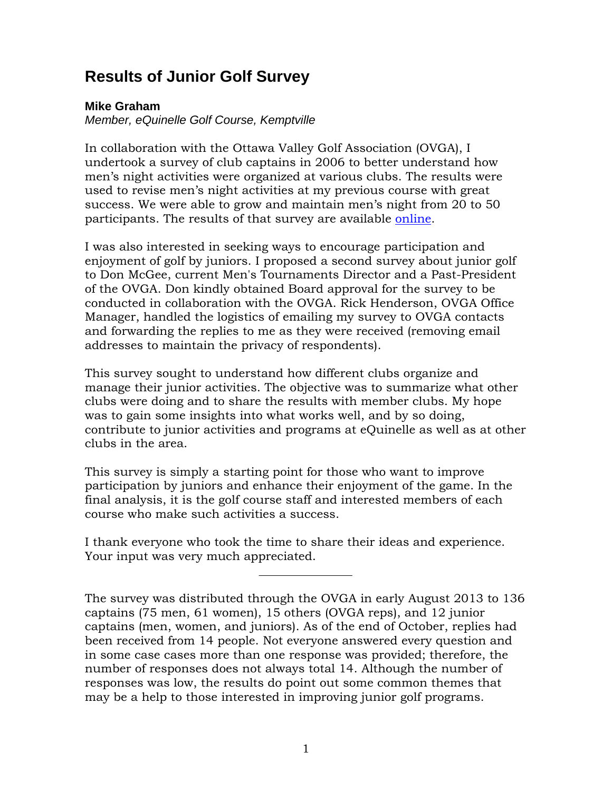# **Results of Junior Golf Survey**

# **Mike Graham**

*Member, eQuinelle Golf Course, Kemptville*

In collaboration with the Ottawa Valley Golf Association (OVGA), I undertook a survey of club captains in 2006 to better understand how men's night activities were organized at various clubs. The results were used to revise men's night activities at my previous course with great success. We were able to grow and maintain men's night from 20 to 50 participants. The results of that survey are available [online.](http://mgedit.com/OVGA_Survey_Results.pdf)

I was also interested in seeking ways to encourage participation and enjoyment of golf by juniors. I proposed a second survey about junior golf to Don McGee, current Men's Tournaments Director and a Past-President of the OVGA. Don kindly obtained Board approval for the survey to be conducted in collaboration with the OVGA. Rick Henderson, OVGA Office Manager, handled the logistics of emailing my survey to OVGA contacts and forwarding the replies to me as they were received (removing email addresses to maintain the privacy of respondents).

This survey sought to understand how different clubs organize and manage their junior activities. The objective was to summarize what other clubs were doing and to share the results with member clubs. My hope was to gain some insights into what works well, and by so doing, contribute to junior activities and programs at eQuinelle as well as at other clubs in the area.

This survey is simply a starting point for those who want to improve participation by juniors and enhance their enjoyment of the game. In the final analysis, it is the golf course staff and interested members of each course who make such activities a success.

I thank everyone who took the time to share their ideas and experience. Your input was very much appreciated.

The survey was distributed through the OVGA in early August 2013 to 136 captains (75 men, 61 women), 15 others (OVGA reps), and 12 junior captains (men, women, and juniors). As of the end of October, replies had been received from 14 people. Not everyone answered every question and in some case cases more than one response was provided; therefore, the number of responses does not always total 14. Although the number of responses was low, the results do point out some common themes that may be a help to those interested in improving junior golf programs.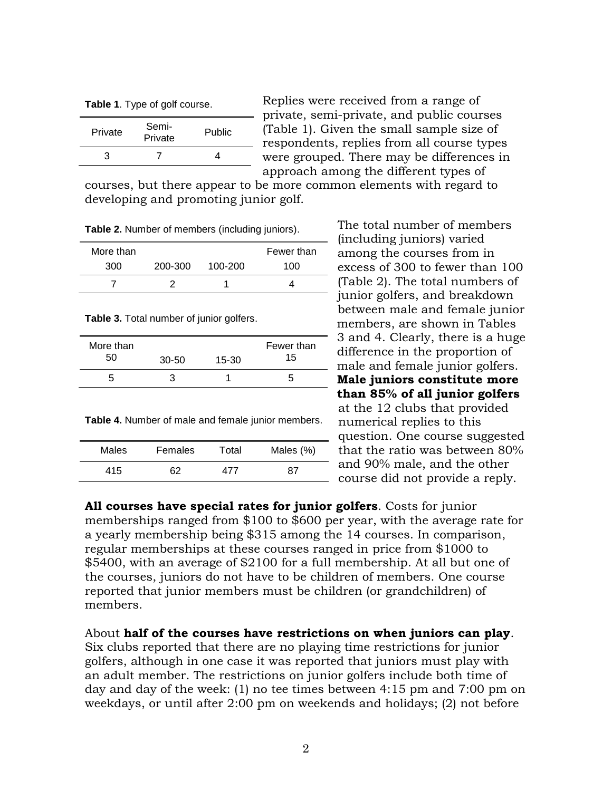**Table 1**. Type of golf course.

| Private | Semi-<br>Private | Public |
|---------|------------------|--------|
| З       |                  |        |

Replies were received from a range of private, semi-private, and public courses (Table 1). Given the small sample size of respondents, replies from all course types were grouped. There may be differences in approach among the different types of

courses, but there appear to be more common elements with regard to developing and promoting junior golf.

**Table 2.** Number of members (including juniors).

| More than |         |         | Fewer than |
|-----------|---------|---------|------------|
| 300       | 200-300 | 100-200 | 100        |
|           |         |         |            |

**Table 3.** Total number of junior golfers.

| More than<br>50 | $30 - 50$ | $15 - 30$ | Fewer than<br>15 |
|-----------------|-----------|-----------|------------------|
|                 |           |           |                  |

**Table 4.** Number of male and female junior members.

| <b>Males</b> | Females | Total | Males (%) |
|--------------|---------|-------|-----------|
| 415          | 62      | 477   | 87        |

The total number of members (including juniors) varied among the courses from in excess of 300 to fewer than 100 (Table 2). The total numbers of junior golfers, and breakdown between male and female junior members, are shown in Tables 3 and 4. Clearly, there is a huge difference in the proportion of male and female junior golfers. **Male juniors constitute more than 85% of all junior golfers** at the 12 clubs that provided numerical replies to this question. One course suggested that the ratio was between 80% and 90% male, and the other course did not provide a reply.

**All courses have special rates for junior golfers**. Costs for junior memberships ranged from \$100 to \$600 per year, with the average rate for a yearly membership being \$315 among the 14 courses. In comparison, regular memberships at these courses ranged in price from \$1000 to \$5400, with an average of \$2100 for a full membership. At all but one of the courses, juniors do not have to be children of members. One course reported that junior members must be children (or grandchildren) of members.

About **half of the courses have restrictions on when juniors can play**.

Six clubs reported that there are no playing time restrictions for junior golfers, although in one case it was reported that juniors must play with an adult member. The restrictions on junior golfers include both time of day and day of the week: (1) no tee times between 4:15 pm and 7:00 pm on weekdays, or until after 2:00 pm on weekends and holidays; (2) not before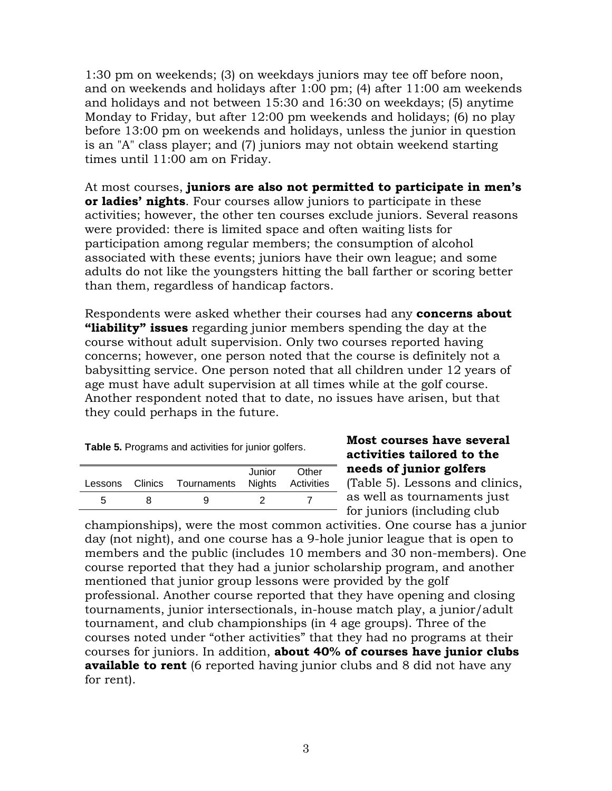1:30 pm on weekends; (3) on weekdays juniors may tee off before noon, and on weekends and holidays after 1:00 pm; (4) after 11:00 am weekends and holidays and not between 15:30 and 16:30 on weekdays; (5) anytime Monday to Friday, but after 12:00 pm weekends and holidays; (6) no play before 13:00 pm on weekends and holidays, unless the junior in question is an "A" class player; and (7) juniors may not obtain weekend starting times until 11:00 am on Friday.

At most courses, **juniors are also not permitted to participate in men's or ladies' nights**. Four courses allow juniors to participate in these activities; however, the other ten courses exclude juniors. Several reasons were provided: there is limited space and often waiting lists for participation among regular members; the consumption of alcohol associated with these events; juniors have their own league; and some adults do not like the youngsters hitting the ball farther or scoring better than them, regardless of handicap factors.

Respondents were asked whether their courses had any **concerns about "liability" issues** regarding junior members spending the day at the course without adult supervision. Only two courses reported having concerns; however, one person noted that the course is definitely not a babysitting service. One person noted that all children under 12 years of age must have adult supervision at all times while at the golf course. Another respondent noted that to date, no issues have arisen, but that they could perhaps in the future.

| Table 5. Programs and activities for junior golfers. |  |  |  |
|------------------------------------------------------|--|--|--|
|------------------------------------------------------|--|--|--|

|    | Lessons Clinics Tournaments Nights Activities | Junior | Other |
|----|-----------------------------------------------|--------|-------|
| ٠h |                                               |        |       |

# **Most courses have several activities tailored to the needs of junior golfers**

(Table 5). Lessons and clinics, as well as tournaments just for juniors (including club

championships), were the most common activities. One course has a junior day (not night), and one course has a 9-hole junior league that is open to members and the public (includes 10 members and 30 non-members). One course reported that they had a junior scholarship program, and another mentioned that junior group lessons were provided by the golf professional. Another course reported that they have opening and closing tournaments, junior intersectionals, in-house match play, a junior/adult tournament, and club championships (in 4 age groups). Three of the courses noted under "other activities" that they had no programs at their courses for juniors. In addition, **about 40% of courses have junior clubs available to rent** (6 reported having junior clubs and 8 did not have any for rent).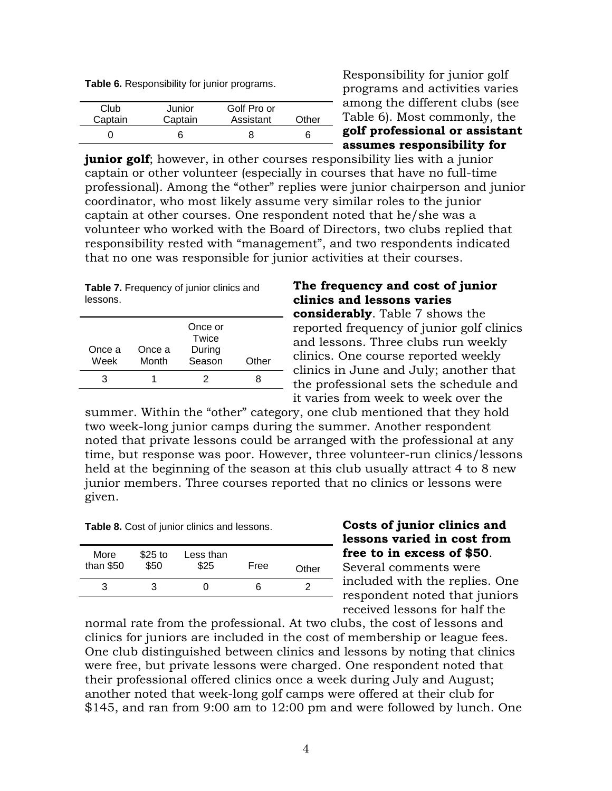**Table 6.** Responsibility for junior programs.

| Club    | Junior  | Golf Pro or |       |
|---------|---------|-------------|-------|
| Captain | Captain | Assistant   | Other |
|         |         |             |       |

Responsibility for junior golf programs and activities varies among the different clubs (see Table 6). Most commonly, the **golf professional or assistant assumes responsibility for** 

**junior golf**; however, in other courses responsibility lies with a junior captain or other volunteer (especially in courses that have no full-time professional). Among the "other" replies were junior chairperson and junior coordinator, who most likely assume very similar roles to the junior captain at other courses. One respondent noted that he/she was a volunteer who worked with the Board of Directors, two clubs replied that responsibility rested with "management", and two respondents indicated that no one was responsible for junior activities at their courses.

Table 7. Frequency of junior clinics and lessons.

| Once a<br>Week | Once a<br>Month | Once or<br>Twice<br>During<br>Season | Other |
|----------------|-----------------|--------------------------------------|-------|
|                |                 |                                      |       |

# **The frequency and cost of junior clinics and lessons varies considerably**. Table 7 shows the reported frequency of junior golf clinics and lessons. Three clubs run weekly clinics. One course reported weekly clinics in June and July; another that the professional sets the schedule and

it varies from week to week over the summer. Within the "other" category, one club mentioned that they hold

two week-long junior camps during the summer. Another respondent noted that private lessons could be arranged with the professional at any time, but response was poor. However, three volunteer-run clinics/lessons held at the beginning of the season at this club usually attract 4 to 8 new junior members. Three courses reported that no clinics or lessons were given.

**Table 8.** Cost of junior clinics and lessons.

| More<br>than $$50$ | $$25$ to<br>\$50 | Less than<br>\$25 | Free | Other |
|--------------------|------------------|-------------------|------|-------|
| з                  | З                |                   | n    |       |

# **Costs of junior clinics and lessons varied in cost from free to in excess of \$50**.

Several comments were included with the replies. One - respondent noted that juniors received lessons for half the

normal rate from the professional. At two clubs, the cost of lessons and clinics for juniors are included in the cost of membership or league fees. One club distinguished between clinics and lessons by noting that clinics were free, but private lessons were charged. One respondent noted that their professional offered clinics once a week during July and August; another noted that week-long golf camps were offered at their club for \$145, and ran from 9:00 am to 12:00 pm and were followed by lunch. One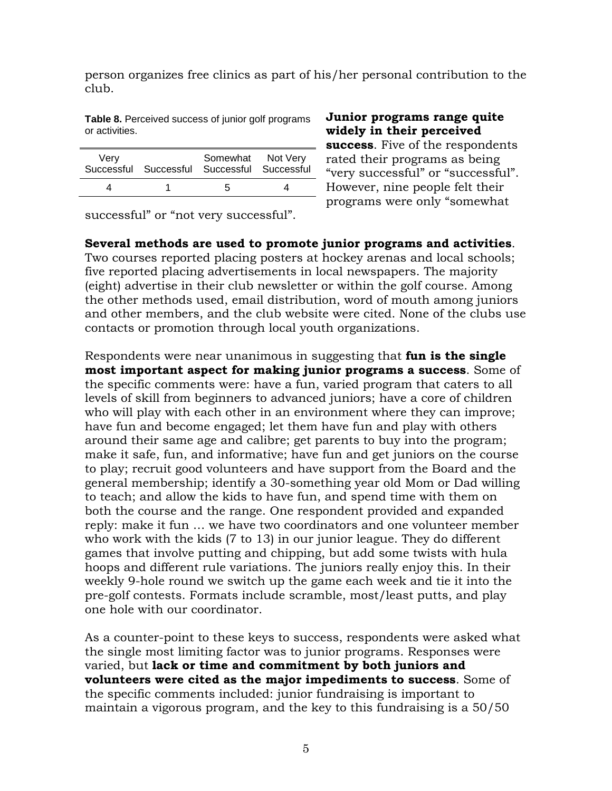person organizes free clinics as part of his/her personal contribution to the club.

**Table 8.** Perceived success of junior golf programs or activities.

| Very | Somewhat Not Very<br>Successful Successful Successful Successful |  |
|------|------------------------------------------------------------------|--|
|      | h                                                                |  |

**Junior programs range quite widely in their perceived success**. Five of the respondents rated their programs as being "very successful" or "successful". However, nine people felt their programs were only "somewhat

successful" or "not very successful".

**Several methods are used to promote junior programs and activities**. Two courses reported placing posters at hockey arenas and local schools; five reported placing advertisements in local newspapers. The majority (eight) advertise in their club newsletter or within the golf course. Among the other methods used, email distribution, word of mouth among juniors and other members, and the club website were cited. None of the clubs use contacts or promotion through local youth organizations.

Respondents were near unanimous in suggesting that **fun is the single most important aspect for making junior programs a success**. Some of the specific comments were: have a fun, varied program that caters to all levels of skill from beginners to advanced juniors; have a core of children who will play with each other in an environment where they can improve; have fun and become engaged; let them have fun and play with others around their same age and calibre; get parents to buy into the program; make it safe, fun, and informative; have fun and get juniors on the course to play; recruit good volunteers and have support from the Board and the general membership; identify a 30-something year old Mom or Dad willing to teach; and allow the kids to have fun, and spend time with them on both the course and the range. One respondent provided and expanded reply: make it fun … we have two coordinators and one volunteer member who work with the kids (7 to 13) in our junior league. They do different games that involve putting and chipping, but add some twists with hula hoops and different rule variations. The juniors really enjoy this. In their weekly 9-hole round we switch up the game each week and tie it into the pre-golf contests. Formats include scramble, most/least putts, and play one hole with our coordinator.

As a counter-point to these keys to success, respondents were asked what the single most limiting factor was to junior programs. Responses were varied, but **lack or time and commitment by both juniors and volunteers were cited as the major impediments to success**. Some of the specific comments included: junior fundraising is important to maintain a vigorous program, and the key to this fundraising is a 50/50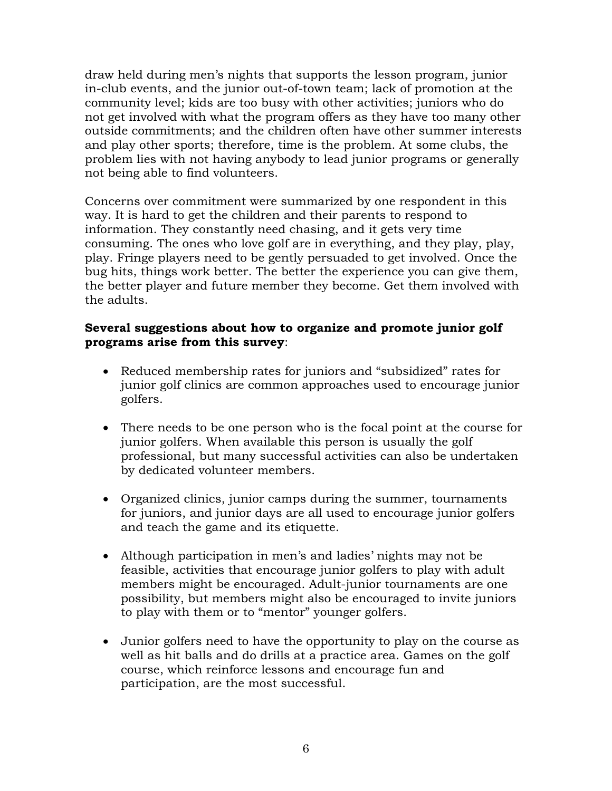draw held during men's nights that supports the lesson program, junior in-club events, and the junior out-of-town team; lack of promotion at the community level; kids are too busy with other activities; juniors who do not get involved with what the program offers as they have too many other outside commitments; and the children often have other summer interests and play other sports; therefore, time is the problem. At some clubs, the problem lies with not having anybody to lead junior programs or generally not being able to find volunteers.

Concerns over commitment were summarized by one respondent in this way. It is hard to get the children and their parents to respond to information. They constantly need chasing, and it gets very time consuming. The ones who love golf are in everything, and they play, play, play. Fringe players need to be gently persuaded to get involved. Once the bug hits, things work better. The better the experience you can give them, the better player and future member they become. Get them involved with the adults.

# **Several suggestions about how to organize and promote junior golf programs arise from this survey**:

- Reduced membership rates for juniors and "subsidized" rates for junior golf clinics are common approaches used to encourage junior golfers.
- There needs to be one person who is the focal point at the course for junior golfers. When available this person is usually the golf professional, but many successful activities can also be undertaken by dedicated volunteer members.
- Organized clinics, junior camps during the summer, tournaments for juniors, and junior days are all used to encourage junior golfers and teach the game and its etiquette.
- Although participation in men's and ladies' nights may not be feasible, activities that encourage junior golfers to play with adult members might be encouraged. Adult-junior tournaments are one possibility, but members might also be encouraged to invite juniors to play with them or to "mentor" younger golfers.
- Junior golfers need to have the opportunity to play on the course as well as hit balls and do drills at a practice area. Games on the golf course, which reinforce lessons and encourage fun and participation, are the most successful.